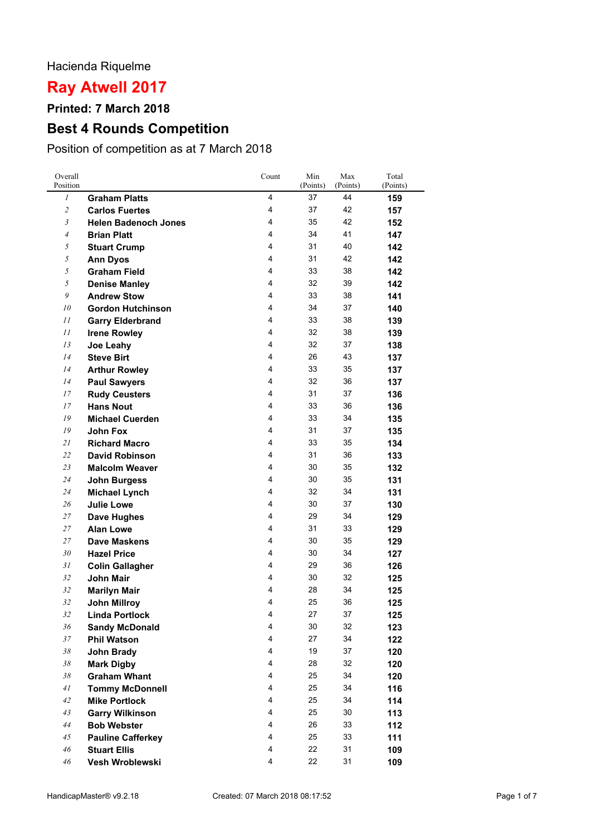### Hacienda Riquelme

# **Ray Atwell 2017**

**Printed: 7 March 2018**

## **Best 4 Rounds Competition**

Position of competition as at 7 March 2018

| 1<br>4<br>44<br>37<br><b>Graham Platts</b><br>159<br>$\overline{c}$<br>4<br>37<br>42<br><b>Carlos Fuertes</b><br>157<br>$\mathfrak{Z}$<br>4<br>35<br>42<br><b>Helen Badenoch Jones</b><br>152<br>41<br>4<br>34<br>$\overline{4}$<br><b>Brian Platt</b><br>147<br>5<br>4<br>31<br>40<br><b>Stuart Crump</b><br>142<br>5<br>4<br>31<br>42<br><b>Ann Dyos</b><br>142<br>5<br><b>Graham Field</b><br>4<br>33<br>38<br>142<br>5<br>4<br>32<br><b>Denise Manley</b><br>39<br>142<br>9<br>4<br>33<br>38<br><b>Andrew Stow</b><br>141<br>10<br>4<br>34<br>37<br><b>Gordon Hutchinson</b><br>140<br>4<br>33<br>38<br>11<br>139<br><b>Garry Elderbrand</b><br>4<br>32<br>38<br>11<br><b>Irene Rowley</b><br>139<br>4<br>32<br>37<br>13<br>Joe Leahy<br>138<br>4<br>43<br>14<br>26<br><b>Steve Birt</b><br>137<br>4<br>33<br>14<br>35<br><b>Arthur Rowley</b><br>137<br>4<br>32<br>36<br>14<br>137<br><b>Paul Sawyers</b><br>4<br>31<br>37<br>17<br><b>Rudy Ceusters</b><br>136<br>4<br>17<br>33<br>36<br><b>Hans Nout</b><br>136<br>19<br>4<br>33<br>34<br><b>Michael Cuerden</b><br>135<br>4<br>31<br>19<br>37<br>John Fox<br>135<br>4<br>33<br>21<br><b>Richard Macro</b><br>35<br>134<br>4<br>31<br>36<br>22<br><b>David Robinson</b><br>133<br>4<br>30<br>35<br>23<br><b>Malcolm Weaver</b><br>132<br>4<br>30<br>35<br>24<br>131<br><b>John Burgess</b><br>4<br>32<br>34<br>24<br><b>Michael Lynch</b><br>131<br>4<br>30<br>37<br>26<br><b>Julie Lowe</b><br>130<br>4<br>29<br>34<br>27<br>129<br>Dave Hughes<br>27<br><b>Alan Lowe</b><br>4<br>31<br>33<br>129<br>27<br>4<br>30<br>35<br>Dave Maskens<br>129<br>4<br>34<br>30<br>30<br><b>Hazel Price</b><br>127<br>31<br>4<br>29<br>36<br><b>Colin Gallagher</b><br>126<br>4<br>32<br>32<br><b>John Mair</b><br>30<br>125<br>4<br>34<br>32<br>28<br><b>Marilyn Mair</b><br>125<br>4<br>25<br>36<br>32<br><b>John Millroy</b><br>125<br>37<br>32<br>27<br><b>Linda Portlock</b><br>$\boldsymbol{\Lambda}$<br>125<br>32<br>36<br>4<br>30<br>123<br><b>Sandy McDonald</b><br>4<br>$37\,$<br>27<br>34<br><b>Phil Watson</b><br>122<br>4<br>37<br>38<br>19<br>John Brady<br>120<br>$38\,$<br>4<br>28<br>32<br><b>Mark Digby</b><br>120<br><b>Graham Whant</b><br>4<br>25<br>34<br>38<br>120<br>$\overline{4}$<br>25<br>34<br>116<br>41<br><b>Tommy McDonnell</b><br>4<br>25<br>34<br>42<br><b>Mike Portlock</b><br>114<br>4<br>25<br>30<br>43<br><b>Garry Wilkinson</b><br>113<br>4<br>26<br>33<br>44<br><b>Bob Webster</b><br>112<br>4<br>25<br>33<br>111<br>45<br><b>Pauline Cafferkey</b><br>46<br>4<br>22<br>31<br><b>Stuart Ellis</b><br>109<br>46<br>4<br>22<br>31<br>Vesh Wroblewski<br>109 | Overall<br>Position | Count | Min<br>(Points) | Max<br>(Points) | Total<br>(Points) |
|-------------------------------------------------------------------------------------------------------------------------------------------------------------------------------------------------------------------------------------------------------------------------------------------------------------------------------------------------------------------------------------------------------------------------------------------------------------------------------------------------------------------------------------------------------------------------------------------------------------------------------------------------------------------------------------------------------------------------------------------------------------------------------------------------------------------------------------------------------------------------------------------------------------------------------------------------------------------------------------------------------------------------------------------------------------------------------------------------------------------------------------------------------------------------------------------------------------------------------------------------------------------------------------------------------------------------------------------------------------------------------------------------------------------------------------------------------------------------------------------------------------------------------------------------------------------------------------------------------------------------------------------------------------------------------------------------------------------------------------------------------------------------------------------------------------------------------------------------------------------------------------------------------------------------------------------------------------------------------------------------------------------------------------------------------------------------------------------------------------------------------------------------------------------------------------------------------------------------------------------------------------------------------------------------------------------------------------------------------------------------------------------------------------------------------------------------------------------------------------------------------------------------------------------------------------------------------------------------------------------------------------------|---------------------|-------|-----------------|-----------------|-------------------|
|                                                                                                                                                                                                                                                                                                                                                                                                                                                                                                                                                                                                                                                                                                                                                                                                                                                                                                                                                                                                                                                                                                                                                                                                                                                                                                                                                                                                                                                                                                                                                                                                                                                                                                                                                                                                                                                                                                                                                                                                                                                                                                                                                                                                                                                                                                                                                                                                                                                                                                                                                                                                                                           |                     |       |                 |                 |                   |
|                                                                                                                                                                                                                                                                                                                                                                                                                                                                                                                                                                                                                                                                                                                                                                                                                                                                                                                                                                                                                                                                                                                                                                                                                                                                                                                                                                                                                                                                                                                                                                                                                                                                                                                                                                                                                                                                                                                                                                                                                                                                                                                                                                                                                                                                                                                                                                                                                                                                                                                                                                                                                                           |                     |       |                 |                 |                   |
|                                                                                                                                                                                                                                                                                                                                                                                                                                                                                                                                                                                                                                                                                                                                                                                                                                                                                                                                                                                                                                                                                                                                                                                                                                                                                                                                                                                                                                                                                                                                                                                                                                                                                                                                                                                                                                                                                                                                                                                                                                                                                                                                                                                                                                                                                                                                                                                                                                                                                                                                                                                                                                           |                     |       |                 |                 |                   |
|                                                                                                                                                                                                                                                                                                                                                                                                                                                                                                                                                                                                                                                                                                                                                                                                                                                                                                                                                                                                                                                                                                                                                                                                                                                                                                                                                                                                                                                                                                                                                                                                                                                                                                                                                                                                                                                                                                                                                                                                                                                                                                                                                                                                                                                                                                                                                                                                                                                                                                                                                                                                                                           |                     |       |                 |                 |                   |
|                                                                                                                                                                                                                                                                                                                                                                                                                                                                                                                                                                                                                                                                                                                                                                                                                                                                                                                                                                                                                                                                                                                                                                                                                                                                                                                                                                                                                                                                                                                                                                                                                                                                                                                                                                                                                                                                                                                                                                                                                                                                                                                                                                                                                                                                                                                                                                                                                                                                                                                                                                                                                                           |                     |       |                 |                 |                   |
|                                                                                                                                                                                                                                                                                                                                                                                                                                                                                                                                                                                                                                                                                                                                                                                                                                                                                                                                                                                                                                                                                                                                                                                                                                                                                                                                                                                                                                                                                                                                                                                                                                                                                                                                                                                                                                                                                                                                                                                                                                                                                                                                                                                                                                                                                                                                                                                                                                                                                                                                                                                                                                           |                     |       |                 |                 |                   |
|                                                                                                                                                                                                                                                                                                                                                                                                                                                                                                                                                                                                                                                                                                                                                                                                                                                                                                                                                                                                                                                                                                                                                                                                                                                                                                                                                                                                                                                                                                                                                                                                                                                                                                                                                                                                                                                                                                                                                                                                                                                                                                                                                                                                                                                                                                                                                                                                                                                                                                                                                                                                                                           |                     |       |                 |                 |                   |
|                                                                                                                                                                                                                                                                                                                                                                                                                                                                                                                                                                                                                                                                                                                                                                                                                                                                                                                                                                                                                                                                                                                                                                                                                                                                                                                                                                                                                                                                                                                                                                                                                                                                                                                                                                                                                                                                                                                                                                                                                                                                                                                                                                                                                                                                                                                                                                                                                                                                                                                                                                                                                                           |                     |       |                 |                 |                   |
|                                                                                                                                                                                                                                                                                                                                                                                                                                                                                                                                                                                                                                                                                                                                                                                                                                                                                                                                                                                                                                                                                                                                                                                                                                                                                                                                                                                                                                                                                                                                                                                                                                                                                                                                                                                                                                                                                                                                                                                                                                                                                                                                                                                                                                                                                                                                                                                                                                                                                                                                                                                                                                           |                     |       |                 |                 |                   |
|                                                                                                                                                                                                                                                                                                                                                                                                                                                                                                                                                                                                                                                                                                                                                                                                                                                                                                                                                                                                                                                                                                                                                                                                                                                                                                                                                                                                                                                                                                                                                                                                                                                                                                                                                                                                                                                                                                                                                                                                                                                                                                                                                                                                                                                                                                                                                                                                                                                                                                                                                                                                                                           |                     |       |                 |                 |                   |
|                                                                                                                                                                                                                                                                                                                                                                                                                                                                                                                                                                                                                                                                                                                                                                                                                                                                                                                                                                                                                                                                                                                                                                                                                                                                                                                                                                                                                                                                                                                                                                                                                                                                                                                                                                                                                                                                                                                                                                                                                                                                                                                                                                                                                                                                                                                                                                                                                                                                                                                                                                                                                                           |                     |       |                 |                 |                   |
|                                                                                                                                                                                                                                                                                                                                                                                                                                                                                                                                                                                                                                                                                                                                                                                                                                                                                                                                                                                                                                                                                                                                                                                                                                                                                                                                                                                                                                                                                                                                                                                                                                                                                                                                                                                                                                                                                                                                                                                                                                                                                                                                                                                                                                                                                                                                                                                                                                                                                                                                                                                                                                           |                     |       |                 |                 |                   |
|                                                                                                                                                                                                                                                                                                                                                                                                                                                                                                                                                                                                                                                                                                                                                                                                                                                                                                                                                                                                                                                                                                                                                                                                                                                                                                                                                                                                                                                                                                                                                                                                                                                                                                                                                                                                                                                                                                                                                                                                                                                                                                                                                                                                                                                                                                                                                                                                                                                                                                                                                                                                                                           |                     |       |                 |                 |                   |
|                                                                                                                                                                                                                                                                                                                                                                                                                                                                                                                                                                                                                                                                                                                                                                                                                                                                                                                                                                                                                                                                                                                                                                                                                                                                                                                                                                                                                                                                                                                                                                                                                                                                                                                                                                                                                                                                                                                                                                                                                                                                                                                                                                                                                                                                                                                                                                                                                                                                                                                                                                                                                                           |                     |       |                 |                 |                   |
|                                                                                                                                                                                                                                                                                                                                                                                                                                                                                                                                                                                                                                                                                                                                                                                                                                                                                                                                                                                                                                                                                                                                                                                                                                                                                                                                                                                                                                                                                                                                                                                                                                                                                                                                                                                                                                                                                                                                                                                                                                                                                                                                                                                                                                                                                                                                                                                                                                                                                                                                                                                                                                           |                     |       |                 |                 |                   |
|                                                                                                                                                                                                                                                                                                                                                                                                                                                                                                                                                                                                                                                                                                                                                                                                                                                                                                                                                                                                                                                                                                                                                                                                                                                                                                                                                                                                                                                                                                                                                                                                                                                                                                                                                                                                                                                                                                                                                                                                                                                                                                                                                                                                                                                                                                                                                                                                                                                                                                                                                                                                                                           |                     |       |                 |                 |                   |
|                                                                                                                                                                                                                                                                                                                                                                                                                                                                                                                                                                                                                                                                                                                                                                                                                                                                                                                                                                                                                                                                                                                                                                                                                                                                                                                                                                                                                                                                                                                                                                                                                                                                                                                                                                                                                                                                                                                                                                                                                                                                                                                                                                                                                                                                                                                                                                                                                                                                                                                                                                                                                                           |                     |       |                 |                 |                   |
|                                                                                                                                                                                                                                                                                                                                                                                                                                                                                                                                                                                                                                                                                                                                                                                                                                                                                                                                                                                                                                                                                                                                                                                                                                                                                                                                                                                                                                                                                                                                                                                                                                                                                                                                                                                                                                                                                                                                                                                                                                                                                                                                                                                                                                                                                                                                                                                                                                                                                                                                                                                                                                           |                     |       |                 |                 |                   |
|                                                                                                                                                                                                                                                                                                                                                                                                                                                                                                                                                                                                                                                                                                                                                                                                                                                                                                                                                                                                                                                                                                                                                                                                                                                                                                                                                                                                                                                                                                                                                                                                                                                                                                                                                                                                                                                                                                                                                                                                                                                                                                                                                                                                                                                                                                                                                                                                                                                                                                                                                                                                                                           |                     |       |                 |                 |                   |
|                                                                                                                                                                                                                                                                                                                                                                                                                                                                                                                                                                                                                                                                                                                                                                                                                                                                                                                                                                                                                                                                                                                                                                                                                                                                                                                                                                                                                                                                                                                                                                                                                                                                                                                                                                                                                                                                                                                                                                                                                                                                                                                                                                                                                                                                                                                                                                                                                                                                                                                                                                                                                                           |                     |       |                 |                 |                   |
|                                                                                                                                                                                                                                                                                                                                                                                                                                                                                                                                                                                                                                                                                                                                                                                                                                                                                                                                                                                                                                                                                                                                                                                                                                                                                                                                                                                                                                                                                                                                                                                                                                                                                                                                                                                                                                                                                                                                                                                                                                                                                                                                                                                                                                                                                                                                                                                                                                                                                                                                                                                                                                           |                     |       |                 |                 |                   |
|                                                                                                                                                                                                                                                                                                                                                                                                                                                                                                                                                                                                                                                                                                                                                                                                                                                                                                                                                                                                                                                                                                                                                                                                                                                                                                                                                                                                                                                                                                                                                                                                                                                                                                                                                                                                                                                                                                                                                                                                                                                                                                                                                                                                                                                                                                                                                                                                                                                                                                                                                                                                                                           |                     |       |                 |                 |                   |
|                                                                                                                                                                                                                                                                                                                                                                                                                                                                                                                                                                                                                                                                                                                                                                                                                                                                                                                                                                                                                                                                                                                                                                                                                                                                                                                                                                                                                                                                                                                                                                                                                                                                                                                                                                                                                                                                                                                                                                                                                                                                                                                                                                                                                                                                                                                                                                                                                                                                                                                                                                                                                                           |                     |       |                 |                 |                   |
|                                                                                                                                                                                                                                                                                                                                                                                                                                                                                                                                                                                                                                                                                                                                                                                                                                                                                                                                                                                                                                                                                                                                                                                                                                                                                                                                                                                                                                                                                                                                                                                                                                                                                                                                                                                                                                                                                                                                                                                                                                                                                                                                                                                                                                                                                                                                                                                                                                                                                                                                                                                                                                           |                     |       |                 |                 |                   |
|                                                                                                                                                                                                                                                                                                                                                                                                                                                                                                                                                                                                                                                                                                                                                                                                                                                                                                                                                                                                                                                                                                                                                                                                                                                                                                                                                                                                                                                                                                                                                                                                                                                                                                                                                                                                                                                                                                                                                                                                                                                                                                                                                                                                                                                                                                                                                                                                                                                                                                                                                                                                                                           |                     |       |                 |                 |                   |
|                                                                                                                                                                                                                                                                                                                                                                                                                                                                                                                                                                                                                                                                                                                                                                                                                                                                                                                                                                                                                                                                                                                                                                                                                                                                                                                                                                                                                                                                                                                                                                                                                                                                                                                                                                                                                                                                                                                                                                                                                                                                                                                                                                                                                                                                                                                                                                                                                                                                                                                                                                                                                                           |                     |       |                 |                 |                   |
|                                                                                                                                                                                                                                                                                                                                                                                                                                                                                                                                                                                                                                                                                                                                                                                                                                                                                                                                                                                                                                                                                                                                                                                                                                                                                                                                                                                                                                                                                                                                                                                                                                                                                                                                                                                                                                                                                                                                                                                                                                                                                                                                                                                                                                                                                                                                                                                                                                                                                                                                                                                                                                           |                     |       |                 |                 |                   |
|                                                                                                                                                                                                                                                                                                                                                                                                                                                                                                                                                                                                                                                                                                                                                                                                                                                                                                                                                                                                                                                                                                                                                                                                                                                                                                                                                                                                                                                                                                                                                                                                                                                                                                                                                                                                                                                                                                                                                                                                                                                                                                                                                                                                                                                                                                                                                                                                                                                                                                                                                                                                                                           |                     |       |                 |                 |                   |
|                                                                                                                                                                                                                                                                                                                                                                                                                                                                                                                                                                                                                                                                                                                                                                                                                                                                                                                                                                                                                                                                                                                                                                                                                                                                                                                                                                                                                                                                                                                                                                                                                                                                                                                                                                                                                                                                                                                                                                                                                                                                                                                                                                                                                                                                                                                                                                                                                                                                                                                                                                                                                                           |                     |       |                 |                 |                   |
|                                                                                                                                                                                                                                                                                                                                                                                                                                                                                                                                                                                                                                                                                                                                                                                                                                                                                                                                                                                                                                                                                                                                                                                                                                                                                                                                                                                                                                                                                                                                                                                                                                                                                                                                                                                                                                                                                                                                                                                                                                                                                                                                                                                                                                                                                                                                                                                                                                                                                                                                                                                                                                           |                     |       |                 |                 |                   |
|                                                                                                                                                                                                                                                                                                                                                                                                                                                                                                                                                                                                                                                                                                                                                                                                                                                                                                                                                                                                                                                                                                                                                                                                                                                                                                                                                                                                                                                                                                                                                                                                                                                                                                                                                                                                                                                                                                                                                                                                                                                                                                                                                                                                                                                                                                                                                                                                                                                                                                                                                                                                                                           |                     |       |                 |                 |                   |
|                                                                                                                                                                                                                                                                                                                                                                                                                                                                                                                                                                                                                                                                                                                                                                                                                                                                                                                                                                                                                                                                                                                                                                                                                                                                                                                                                                                                                                                                                                                                                                                                                                                                                                                                                                                                                                                                                                                                                                                                                                                                                                                                                                                                                                                                                                                                                                                                                                                                                                                                                                                                                                           |                     |       |                 |                 |                   |
|                                                                                                                                                                                                                                                                                                                                                                                                                                                                                                                                                                                                                                                                                                                                                                                                                                                                                                                                                                                                                                                                                                                                                                                                                                                                                                                                                                                                                                                                                                                                                                                                                                                                                                                                                                                                                                                                                                                                                                                                                                                                                                                                                                                                                                                                                                                                                                                                                                                                                                                                                                                                                                           |                     |       |                 |                 |                   |
|                                                                                                                                                                                                                                                                                                                                                                                                                                                                                                                                                                                                                                                                                                                                                                                                                                                                                                                                                                                                                                                                                                                                                                                                                                                                                                                                                                                                                                                                                                                                                                                                                                                                                                                                                                                                                                                                                                                                                                                                                                                                                                                                                                                                                                                                                                                                                                                                                                                                                                                                                                                                                                           |                     |       |                 |                 |                   |
|                                                                                                                                                                                                                                                                                                                                                                                                                                                                                                                                                                                                                                                                                                                                                                                                                                                                                                                                                                                                                                                                                                                                                                                                                                                                                                                                                                                                                                                                                                                                                                                                                                                                                                                                                                                                                                                                                                                                                                                                                                                                                                                                                                                                                                                                                                                                                                                                                                                                                                                                                                                                                                           |                     |       |                 |                 |                   |
|                                                                                                                                                                                                                                                                                                                                                                                                                                                                                                                                                                                                                                                                                                                                                                                                                                                                                                                                                                                                                                                                                                                                                                                                                                                                                                                                                                                                                                                                                                                                                                                                                                                                                                                                                                                                                                                                                                                                                                                                                                                                                                                                                                                                                                                                                                                                                                                                                                                                                                                                                                                                                                           |                     |       |                 |                 |                   |
|                                                                                                                                                                                                                                                                                                                                                                                                                                                                                                                                                                                                                                                                                                                                                                                                                                                                                                                                                                                                                                                                                                                                                                                                                                                                                                                                                                                                                                                                                                                                                                                                                                                                                                                                                                                                                                                                                                                                                                                                                                                                                                                                                                                                                                                                                                                                                                                                                                                                                                                                                                                                                                           |                     |       |                 |                 |                   |
|                                                                                                                                                                                                                                                                                                                                                                                                                                                                                                                                                                                                                                                                                                                                                                                                                                                                                                                                                                                                                                                                                                                                                                                                                                                                                                                                                                                                                                                                                                                                                                                                                                                                                                                                                                                                                                                                                                                                                                                                                                                                                                                                                                                                                                                                                                                                                                                                                                                                                                                                                                                                                                           |                     |       |                 |                 |                   |
|                                                                                                                                                                                                                                                                                                                                                                                                                                                                                                                                                                                                                                                                                                                                                                                                                                                                                                                                                                                                                                                                                                                                                                                                                                                                                                                                                                                                                                                                                                                                                                                                                                                                                                                                                                                                                                                                                                                                                                                                                                                                                                                                                                                                                                                                                                                                                                                                                                                                                                                                                                                                                                           |                     |       |                 |                 |                   |
|                                                                                                                                                                                                                                                                                                                                                                                                                                                                                                                                                                                                                                                                                                                                                                                                                                                                                                                                                                                                                                                                                                                                                                                                                                                                                                                                                                                                                                                                                                                                                                                                                                                                                                                                                                                                                                                                                                                                                                                                                                                                                                                                                                                                                                                                                                                                                                                                                                                                                                                                                                                                                                           |                     |       |                 |                 |                   |
|                                                                                                                                                                                                                                                                                                                                                                                                                                                                                                                                                                                                                                                                                                                                                                                                                                                                                                                                                                                                                                                                                                                                                                                                                                                                                                                                                                                                                                                                                                                                                                                                                                                                                                                                                                                                                                                                                                                                                                                                                                                                                                                                                                                                                                                                                                                                                                                                                                                                                                                                                                                                                                           |                     |       |                 |                 |                   |
|                                                                                                                                                                                                                                                                                                                                                                                                                                                                                                                                                                                                                                                                                                                                                                                                                                                                                                                                                                                                                                                                                                                                                                                                                                                                                                                                                                                                                                                                                                                                                                                                                                                                                                                                                                                                                                                                                                                                                                                                                                                                                                                                                                                                                                                                                                                                                                                                                                                                                                                                                                                                                                           |                     |       |                 |                 |                   |
|                                                                                                                                                                                                                                                                                                                                                                                                                                                                                                                                                                                                                                                                                                                                                                                                                                                                                                                                                                                                                                                                                                                                                                                                                                                                                                                                                                                                                                                                                                                                                                                                                                                                                                                                                                                                                                                                                                                                                                                                                                                                                                                                                                                                                                                                                                                                                                                                                                                                                                                                                                                                                                           |                     |       |                 |                 |                   |
|                                                                                                                                                                                                                                                                                                                                                                                                                                                                                                                                                                                                                                                                                                                                                                                                                                                                                                                                                                                                                                                                                                                                                                                                                                                                                                                                                                                                                                                                                                                                                                                                                                                                                                                                                                                                                                                                                                                                                                                                                                                                                                                                                                                                                                                                                                                                                                                                                                                                                                                                                                                                                                           |                     |       |                 |                 |                   |
|                                                                                                                                                                                                                                                                                                                                                                                                                                                                                                                                                                                                                                                                                                                                                                                                                                                                                                                                                                                                                                                                                                                                                                                                                                                                                                                                                                                                                                                                                                                                                                                                                                                                                                                                                                                                                                                                                                                                                                                                                                                                                                                                                                                                                                                                                                                                                                                                                                                                                                                                                                                                                                           |                     |       |                 |                 |                   |
|                                                                                                                                                                                                                                                                                                                                                                                                                                                                                                                                                                                                                                                                                                                                                                                                                                                                                                                                                                                                                                                                                                                                                                                                                                                                                                                                                                                                                                                                                                                                                                                                                                                                                                                                                                                                                                                                                                                                                                                                                                                                                                                                                                                                                                                                                                                                                                                                                                                                                                                                                                                                                                           |                     |       |                 |                 |                   |
|                                                                                                                                                                                                                                                                                                                                                                                                                                                                                                                                                                                                                                                                                                                                                                                                                                                                                                                                                                                                                                                                                                                                                                                                                                                                                                                                                                                                                                                                                                                                                                                                                                                                                                                                                                                                                                                                                                                                                                                                                                                                                                                                                                                                                                                                                                                                                                                                                                                                                                                                                                                                                                           |                     |       |                 |                 |                   |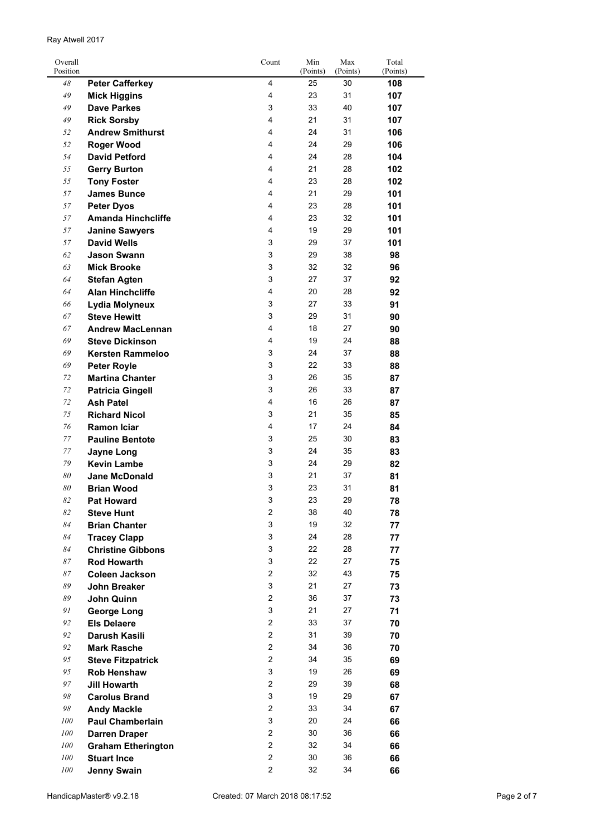| Ray Atwell 2017 |  |
|-----------------|--|
|                 |  |

| Overall<br>Position |                                             | Count          | Min<br>(Points) | Max<br>(Points) | Total<br>(Points) |
|---------------------|---------------------------------------------|----------------|-----------------|-----------------|-------------------|
| 48                  | <b>Peter Cafferkey</b>                      | 4              | 25              | 30              | 108               |
| 49                  | <b>Mick Higgins</b>                         | 4              | 23              | 31              | 107               |
| 49                  | <b>Dave Parkes</b>                          | 3              | 33              | 40              | 107               |
| 49                  | <b>Rick Sorsby</b>                          | 4              | 21              | 31              | 107               |
| 52                  | <b>Andrew Smithurst</b>                     | 4              | 24              | 31              | 106               |
| 52                  | <b>Roger Wood</b>                           | 4              | 24              | 29              | 106               |
| 54                  | <b>David Petford</b>                        | 4              | 24              | 28              | 104               |
| 55                  | <b>Gerry Burton</b>                         | 4              | 21              | 28              | 102               |
| 55                  | <b>Tony Foster</b>                          | 4              | 23              | 28              | 102               |
| 57                  | <b>James Bunce</b>                          | 4              | 21              | 29              | 101               |
| 57                  | <b>Peter Dyos</b>                           | 4              | 23              | 28              | 101               |
| 57                  | <b>Amanda Hinchcliffe</b>                   | 4              | 23              | 32              | 101               |
| 57                  |                                             | 4              | 19              | 29              | 101               |
| 57                  | <b>Janine Sawyers</b><br><b>David Wells</b> | 3              | 29              | 37              | 101               |
| 62                  | <b>Jason Swann</b>                          | 3              | 29              | 38              | 98                |
| 63                  | <b>Mick Brooke</b>                          | 3              | 32              | 32              | 96                |
| 64                  |                                             | 3              | 27              | 37              |                   |
|                     | <b>Stefan Agten</b>                         | $\overline{4}$ | 20              |                 | 92                |
| 64                  | <b>Alan Hinchcliffe</b>                     |                |                 | 28              | 92                |
| 66                  | Lydia Molyneux                              | 3<br>3         | 27              | 33              | 91                |
| 67                  | <b>Steve Hewitt</b>                         |                | 29              | 31              | 90                |
| 67                  | <b>Andrew MacLennan</b>                     | 4              | 18              | 27              | 90                |
| 69                  | <b>Steve Dickinson</b>                      | 4              | 19              | 24              | 88                |
| 69                  | <b>Kersten Rammeloo</b>                     | 3              | 24              | 37              | 88                |
| 69                  | <b>Peter Royle</b>                          | 3              | 22              | 33              | 88                |
| 72                  | <b>Martina Chanter</b>                      | 3              | 26              | 35              | 87                |
| 72                  | <b>Patricia Gingell</b>                     | 3              | 26              | 33              | 87                |
| 72                  | <b>Ash Patel</b>                            | 4              | 16              | 26              | 87                |
| 75                  | <b>Richard Nicol</b>                        | 3              | 21              | 35              | 85                |
| 76                  | <b>Ramon Iciar</b>                          | 4              | 17              | 24              | 84                |
| 77                  | <b>Pauline Bentote</b>                      | 3              | 25              | 30              | 83                |
| $77\,$              | <b>Jayne Long</b>                           | 3              | 24              | 35              | 83                |
| 79                  | <b>Kevin Lambe</b>                          | 3              | 24              | 29              | 82                |
| 80                  | <b>Jane McDonald</b>                        | 3              | 21              | 37              | 81                |
| 80                  | <b>Brian Wood</b>                           | 3              | 23              | 31              | 81                |
| 82                  | <b>Pat Howard</b>                           | 3              | 23              | 29              | 78                |
| 82                  | <b>Steve Hunt</b>                           | $\overline{2}$ | 38              | 40              | 78                |
| 84                  | <b>Brian Chanter</b>                        | 3              | 19              | 32              | 77                |
| 84                  | <b>Tracey Clapp</b>                         | 3              | 24              | 28              | 77                |
| 84                  | <b>Christine Gibbons</b>                    | 3              | 22              | 28              | 77                |
| 87                  | <b>Rod Howarth</b>                          | 3              | 22              | 27              | 75                |
| 87                  | <b>Coleen Jackson</b>                       | $\overline{2}$ | 32              | 43              | 75                |
| 89                  | <b>John Breaker</b>                         | 3              | 21              | 27              | 73                |
| 89                  | John Quinn                                  | $\overline{2}$ | 36              | 37              | 73                |
| 91                  | <b>George Long</b>                          | 3              | 21              | 27              | 71                |
| 92                  | <b>Els Delaere</b>                          | $\overline{2}$ | 33              | 37              | 70                |
| 92                  | Darush Kasili                               | $\overline{2}$ | 31              | 39              | 70                |
| 92                  | <b>Mark Rasche</b>                          | $\overline{2}$ | 34              | 36              | 70                |
| 95                  | <b>Steve Fitzpatrick</b>                    | $\overline{2}$ | 34              | 35              | 69                |
| 95                  | <b>Rob Henshaw</b>                          | 3              | 19              | 26              | 69                |
| 97                  | <b>Jill Howarth</b>                         | $\overline{c}$ | 29              | 39              | 68                |
| $98\,$              | <b>Carolus Brand</b>                        | 3              | 19              | 29              | 67                |
| $98\,$              | <b>Andy Mackle</b>                          | $\overline{c}$ | 33              | 34              | 67                |
| 100                 | <b>Paul Chamberlain</b>                     | 3              | 20              | 24              | 66                |
| 100                 | <b>Darren Draper</b>                        | $\overline{c}$ | 30              | 36              | 66                |
| 100                 | <b>Graham Etherington</b>                   | $\overline{2}$ | 32              | 34              | 66                |
| 100                 | <b>Stuart Ince</b>                          | $\overline{2}$ | 30              | 36              | 66                |
| 100                 | <b>Jenny Swain</b>                          | $\overline{c}$ | 32              | 34              | 66                |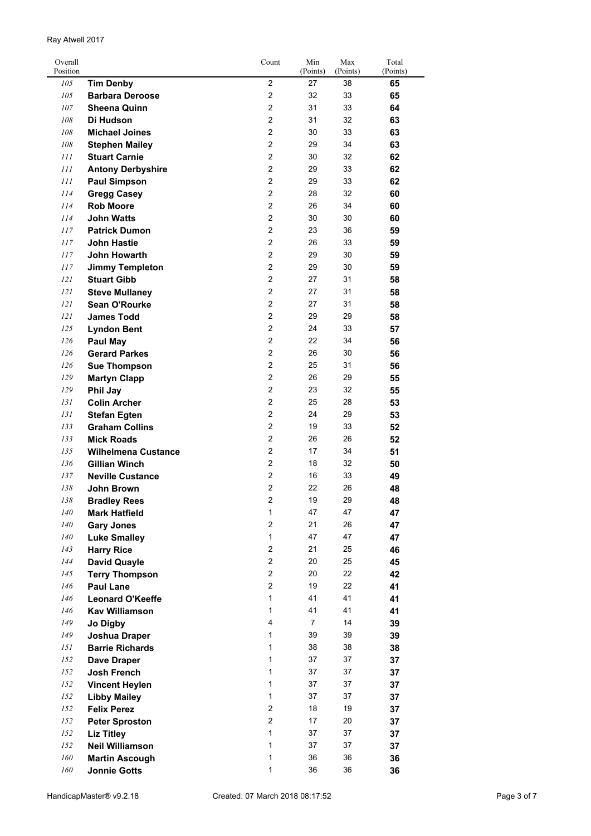| Overall<br>Position |                            | Count                   | Min<br>(Points) | Max<br>(Points) | Total<br>(Points) |
|---------------------|----------------------------|-------------------------|-----------------|-----------------|-------------------|
| 105                 | <b>Tim Denby</b>           | $\overline{2}$          | 27              | 38              | 65                |
| 105                 | <b>Barbara Deroose</b>     | $\overline{2}$          | 32              | 33              | 65                |
| 107                 | <b>Sheena Quinn</b>        | $\overline{c}$          | 31              | 33              | 64                |
| 108                 | Di Hudson                  | $\overline{2}$          | 31              | 32              | 63                |
| 108                 | <b>Michael Joines</b>      | $\overline{2}$          | 30              | 33              | 63                |
| 108                 | <b>Stephen Mailey</b>      | $\overline{2}$          | 29              | 34              | 63                |
| 111                 | <b>Stuart Carnie</b>       | $\overline{c}$          | 30              | 32              | 62                |
| 111                 | <b>Antony Derbyshire</b>   | $\overline{2}$          | 29              | 33              | 62                |
| 111                 | <b>Paul Simpson</b>        | $\overline{c}$          | 29              | 33              | 62                |
| 114                 | <b>Gregg Casey</b>         | $\overline{2}$          | 28              | 32              | 60                |
| 114                 | <b>Rob Moore</b>           | $\overline{2}$          | 26              | 34              | 60                |
| 114                 | John Watts                 | $\overline{2}$          | 30              | 30              | 60                |
| 117                 | <b>Patrick Dumon</b>       | $\overline{2}$          | 23              | 36              | 59                |
| 117                 | <b>John Hastie</b>         | $\overline{2}$          | 26              | 33              | 59                |
| 117                 | <b>John Howarth</b>        | $\overline{2}$          | 29              | 30              | 59                |
| 117                 |                            | $\overline{2}$          | 29              | 30              |                   |
|                     | <b>Jimmy Templeton</b>     | $\overline{2}$          |                 | 31              | 59                |
| 121                 | <b>Stuart Gibb</b>         |                         | 27              |                 | 58                |
| 121                 | <b>Steve Mullaney</b>      | $\overline{c}$          | 27              | 31              | 58                |
| 121                 | Sean O'Rourke              | $\overline{2}$          | 27              | 31              | 58                |
| 121                 | <b>James Todd</b>          | $\overline{c}$          | 29              | 29              | 58                |
| 125                 | <b>Lyndon Bent</b>         | $\overline{2}$          | 24              | 33              | 57                |
| 126                 | Paul May                   | $\overline{2}$          | 22              | 34              | 56                |
| 126                 | <b>Gerard Parkes</b>       | $\overline{2}$          | 26              | 30              | 56                |
| 126                 | <b>Sue Thompson</b>        | $\overline{c}$          | 25              | 31              | 56                |
| 129                 | <b>Martyn Clapp</b>        | $\overline{2}$          | 26              | 29              | 55                |
| 129                 | <b>Phil Jay</b>            | $\overline{c}$          | 23              | 32              | 55                |
| 131                 | <b>Colin Archer</b>        | $\overline{2}$          | 25              | 28              | 53                |
| 131                 | <b>Stefan Egten</b>        | $\overline{2}$          | 24              | 29              | 53                |
| 133                 | <b>Graham Collins</b>      | $\overline{2}$          | 19              | 33              | 52                |
| 133                 | <b>Mick Roads</b>          | $\overline{c}$          | 26              | 26              | 52                |
| 135                 | <b>Wilhelmena Custance</b> | $\overline{2}$          | 17              | 34              | 51                |
| 136                 | <b>Gillian Winch</b>       | $\overline{2}$          | 18              | 32              | 50                |
| 137                 | <b>Neville Custance</b>    | $\overline{2}$          | 16              | 33              | 49                |
| 138                 | John Brown                 | 2                       | 22              | 26              | 48                |
| 138                 | <b>Bradley Rees</b>        | $\overline{\mathbf{c}}$ | 19              | 29              | 48                |
| 140                 | <b>Mark Hatfield</b>       | $\mathbf{1}$            | 47              | 47              | 47                |
| 140                 | <b>Gary Jones</b>          | $\overline{c}$          | 21              | 26              | 47                |
| 140                 | <b>Luke Smalley</b>        | $\mathbf{1}$            | 47              | 47              | 47                |
| 143                 | <b>Harry Rice</b>          | $\overline{c}$          | 21              | 25              | 46                |
| 144                 | <b>David Quayle</b>        | $\overline{2}$          | 20              | 25              | 45                |
| 145                 | <b>Terry Thompson</b>      | $\overline{2}$          | 20              | 22              | 42                |
| 146                 | <b>Paul Lane</b>           | $\overline{c}$          | 19              | 22              | 41                |
| 146                 | <b>Leonard O'Keeffe</b>    | 1                       | 41              | 41              | 41                |
| 146                 | <b>Kav Williamson</b>      | 1                       | 41              | 41              | 41                |
| 149                 | Jo Digby                   | 4                       | 7               | 14              | 39                |
| 149                 | Joshua Draper              | $\mathbf{1}$            | 39              | 39              | 39                |
| 151                 | <b>Barrie Richards</b>     | $\mathbf{1}$            | 38              | 38              | 38                |
| 152                 | <b>Dave Draper</b>         | $\mathbf{1}$            | 37              | 37              | 37                |
| 152                 | <b>Josh French</b>         | $\mathbf{1}$            | 37              | 37              | 37                |
| 152                 | <b>Vincent Heylen</b>      | $\mathbf{1}$            | 37              | 37              |                   |
| 152                 | <b>Libby Mailey</b>        | $\mathbf{1}$            | 37              | 37              | 37<br>37          |
| 152                 | <b>Felix Perez</b>         | $\overline{c}$          | 18              | 19              |                   |
|                     |                            | $\overline{c}$          | 17              |                 | 37                |
| 152                 | <b>Peter Sproston</b>      | $\mathbf{1}$            |                 | 20              | 37                |
| 152                 | <b>Liz Titley</b>          |                         | 37              | 37              | 37                |
| 152                 | <b>Neil Williamson</b>     | $\mathbf{1}$            | 37              | 37              | 37                |
| 160                 | <b>Martin Ascough</b>      | $\mathbf{1}$            | 36              | 36              | 36                |
| 160                 | <b>Jonnie Gotts</b>        | $\mathbf{1}$            | 36              | 36              | 36                |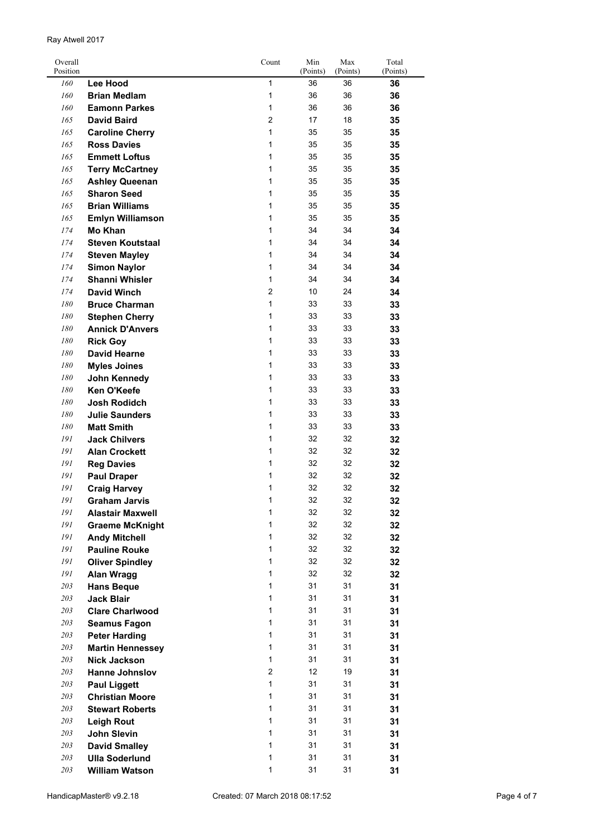| Overall  |                         | Count          | Min      | Max      | Total    |
|----------|-------------------------|----------------|----------|----------|----------|
| Position |                         |                | (Points) | (Points) | (Points) |
| 160      | <b>Lee Hood</b>         | $\mathbf{1}$   | 36       | 36       | 36       |
| 160      | <b>Brian Medlam</b>     | $\mathbf{1}$   | 36       | 36       | 36       |
| 160      | <b>Eamonn Parkes</b>    | $\mathbf{1}$   | 36       | 36       | 36       |
| 165      | <b>David Baird</b>      | 2              | 17       | 18       | 35       |
| 165      | <b>Caroline Cherry</b>  | $\mathbf{1}$   | 35       | 35       | 35       |
| 165      | <b>Ross Davies</b>      | $\mathbf{1}$   | 35       | 35       | 35       |
| 165      | <b>Emmett Loftus</b>    | $\mathbf{1}$   | 35       | 35       | 35       |
| 165      | <b>Terry McCartney</b>  | $\mathbf{1}$   | 35       | 35       | 35       |
| 165      | <b>Ashley Queenan</b>   | 1              | 35       | 35       | 35       |
| 165      | <b>Sharon Seed</b>      | $\mathbf{1}$   | 35       | 35       | 35       |
| 165      | <b>Brian Williams</b>   | $\mathbf{1}$   | 35       | 35       | 35       |
| 165      | <b>Emlyn Williamson</b> | $\mathbf{1}$   | 35       | 35       | 35       |
| 174      | <b>Mo Khan</b>          | $\mathbf{1}$   | 34       | 34       | 34       |
| 174      | <b>Steven Koutstaal</b> | $\mathbf{1}$   | 34       | 34       | 34       |
| 174      | <b>Steven Mayley</b>    | $\mathbf{1}$   | 34       | 34       | 34       |
| 174      | <b>Simon Naylor</b>     | $\mathbf{1}$   | 34       | 34       | 34       |
| 174      | <b>Shanni Whisler</b>   | $\mathbf{1}$   | 34       | 34       | 34       |
| 174      | <b>David Winch</b>      | 2              | 10       | 24       | 34       |
| 180      | <b>Bruce Charman</b>    | $\mathbf{1}$   | 33       | 33       | 33       |
| 180      | <b>Stephen Cherry</b>   | $\mathbf{1}$   | 33       | 33       | 33       |
| 180      | <b>Annick D'Anvers</b>  | $\mathbf{1}$   | 33       | 33       | 33       |
| 180      | <b>Rick Goy</b>         | $\mathbf{1}$   | 33       | 33       | 33       |
| 180      | <b>David Hearne</b>     | $\mathbf{1}$   | 33       | 33       | 33       |
| 180      | <b>Myles Joines</b>     | $\mathbf{1}$   | 33       | 33       | 33       |
| 180      | John Kennedy            | $\mathbf{1}$   | 33       | 33       | 33       |
| 180      | <b>Ken O'Keefe</b>      | 1              | 33       | 33       | 33       |
| 180      | <b>Josh Rodidch</b>     | $\mathbf{1}$   | 33       | 33       | 33       |
| 180      | <b>Julie Saunders</b>   | 1              | 33       | 33       | 33       |
| 180      | <b>Matt Smith</b>       | $\mathbf{1}$   | 33       | 33       | 33       |
| 191      | <b>Jack Chilvers</b>    | $\mathbf{1}$   | 32       | 32       | 32       |
| 191      | <b>Alan Crockett</b>    | $\mathbf{1}$   | 32       | 32       | 32       |
| 191      | <b>Reg Davies</b>       | $\mathbf{1}$   | 32       | 32       | 32       |
| 191      | <b>Paul Draper</b>      | $\mathbf{1}$   | 32       | 32       | 32       |
| 191      | <b>Craig Harvey</b>     | 1              | 32       | 32       | 32       |
| 191      | Graham Jarvis           | 1              | 32       | 32       | 32       |
| 191      |                         | $\mathbf{1}$   | 32       | 32       |          |
| 191      | <b>Alastair Maxwell</b> | 1              | 32       | 32       | 32       |
| 191      | <b>Graeme McKnight</b>  | 1              | 32       | 32       | 32       |
| 191      | <b>Andy Mitchell</b>    | $\mathbf{1}$   | 32       | 32       | 32       |
|          | <b>Pauline Rouke</b>    | $\mathbf{1}$   |          |          | 32       |
| 191      | <b>Oliver Spindley</b>  |                | 32       | 32       | 32       |
| 191      | Alan Wragg              | $\mathbf{1}$   | 32       | 32       | 32       |
| 203      | <b>Hans Beque</b>       | $\mathbf{1}$   | 31       | 31       | 31       |
| 203      | <b>Jack Blair</b>       | $\mathbf{1}$   | 31       | 31       | 31       |
| 203      | <b>Clare Charlwood</b>  | $\mathbf{1}$   | 31       | 31       | 31       |
| 203      | <b>Seamus Fagon</b>     | $\mathbf{1}$   | 31       | 31       | 31       |
| 203      | <b>Peter Harding</b>    | $\mathbf{1}$   | 31       | 31       | 31       |
| 203      | <b>Martin Hennessey</b> | $\mathbf{1}$   | 31       | 31       | 31       |
| 203      | <b>Nick Jackson</b>     | $\mathbf{1}$   | 31       | 31       | 31       |
| 203      | <b>Hanne Johnslov</b>   | $\overline{2}$ | 12       | 19       | 31       |
| 203      | <b>Paul Liggett</b>     | $\mathbf{1}$   | 31       | 31       | 31       |
| 203      | <b>Christian Moore</b>  | $\mathbf{1}$   | 31       | 31       | 31       |
| 203      | <b>Stewart Roberts</b>  | $\mathbf{1}$   | 31       | 31       | 31       |
| 203      | <b>Leigh Rout</b>       | $\mathbf{1}$   | 31       | 31       | 31       |
| 203      | <b>John Slevin</b>      | $\mathbf{1}$   | 31       | 31       | 31       |
| 203      | <b>David Smalley</b>    | $\mathbf{1}$   | 31       | 31       | 31       |
| 203      | <b>Ulla Soderlund</b>   | $\mathbf{1}$   | 31       | 31       | 31       |
| $203\,$  | <b>William Watson</b>   | $\mathbf{1}$   | 31       | 31       | 31       |

Ray Atwell 2017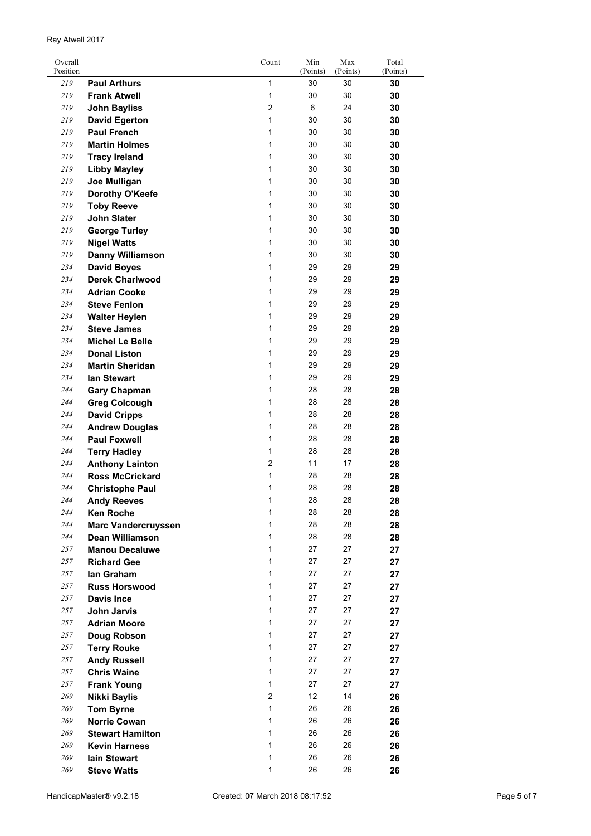| Overall<br>Position |                            | Count          | Min<br>(Points) | Max<br>(Points) | Total<br>(Points) |
|---------------------|----------------------------|----------------|-----------------|-----------------|-------------------|
| 219                 | <b>Paul Arthurs</b>        | 1              | 30              | 30              | 30                |
| 219                 | <b>Frank Atwell</b>        | 1              | 30              | 30              | 30                |
| 219                 | <b>John Bayliss</b>        | $\overline{2}$ | 6               | 24              | 30                |
| 219                 | <b>David Egerton</b>       | 1              | 30              | 30              | 30                |
| 219                 | <b>Paul French</b>         | $\mathbf{1}$   | 30              | 30              | 30                |
| 219                 | <b>Martin Holmes</b>       | 1              | 30              | 30              | 30                |
|                     |                            | 1              | 30              | 30              |                   |
| 219                 | <b>Tracy Ireland</b>       |                |                 |                 | 30                |
| 219                 | <b>Libby Mayley</b>        | 1              | 30              | 30              | 30                |
| 219                 | Joe Mulligan               | $\mathbf{1}$   | 30              | 30              | 30                |
| 219                 | Dorothy O'Keefe            | 1              | 30              | 30              | 30                |
| 219                 | <b>Toby Reeve</b>          | 1              | 30              | 30              | 30                |
| 219                 | <b>John Slater</b>         | 1              | 30              | 30              | 30                |
| 219                 | <b>George Turley</b>       | 1              | 30              | 30              | 30                |
| 219                 | <b>Nigel Watts</b>         | 1              | 30              | 30              | 30                |
| 219                 | <b>Danny Williamson</b>    | 1              | 30              | 30              | 30                |
| 234                 | <b>David Boyes</b>         | 1              | 29              | 29              | 29                |
| 234                 | <b>Derek Charlwood</b>     | 1              | 29              | 29              | 29                |
| 234                 | <b>Adrian Cooke</b>        | 1              | 29              | 29              | 29                |
| 234                 | <b>Steve Fenlon</b>        | 1              | 29              | 29              | 29                |
| 234                 | <b>Walter Heylen</b>       | 1              | 29              | 29              | 29                |
| 234                 | <b>Steve James</b>         | 1              | 29              | 29              | 29                |
| 234                 | <b>Michel Le Belle</b>     | 1              | 29              | 29              | 29                |
| 234                 | <b>Donal Liston</b>        | 1              | 29              | 29              | 29                |
| 234                 | <b>Martin Sheridan</b>     | 1              | 29              | 29              | 29                |
| 234                 | lan Stewart                | $\mathbf{1}$   | 29              | 29              | 29                |
| 244                 | <b>Gary Chapman</b>        | $\mathbf{1}$   | 28              | 28              | 28                |
| 244                 | <b>Greg Colcough</b>       | 1              | 28              | 28              | 28                |
| 244                 | <b>David Cripps</b>        | 1              | 28              | 28              | 28                |
| 244                 | <b>Andrew Douglas</b>      | 1              | 28              | 28              | 28                |
| 244                 | <b>Paul Foxwell</b>        | 1              | 28              | 28              | 28                |
| 244                 | <b>Terry Hadley</b>        | 1              | 28              | 28              | 28                |
| 244                 | <b>Anthony Lainton</b>     | $\overline{2}$ | 11              | 17              | 28                |
| 244                 | <b>Ross McCrickard</b>     | 1              | 28              | 28              | 28                |
| 244                 | <b>Christophe Paul</b>     | 1              | 28              | 28              | 28                |
| 244                 | <b>Andy Reeves</b>         | 1              | 28              | 28              | 28                |
| 244                 | <b>Ken Roche</b>           | 1              | 28              | 28              | 28                |
| 244                 | <b>Marc Vandercruyssen</b> | $\mathbf{1}$   | 28              | 28              | 28                |
| 244                 | <b>Dean Williamson</b>     | $\mathbf{1}$   | 28              | 28              | 28                |
| 257                 | <b>Manou Decaluwe</b>      | $\mathbf{1}$   | 27              | 27              | 27                |
| 257                 | <b>Richard Gee</b>         | $\mathbf{1}$   | 27              | 27              | 27                |
| 257                 | lan Graham                 | $\mathbf{1}$   | 27              | 27              | 27                |
| 257                 | <b>Russ Horswood</b>       | $\mathbf{1}$   | 27              | 27              | 27                |
| 257                 | <b>Davis Ince</b>          | $\mathbf{1}$   | 27              | 27              | 27                |
| 257                 | <b>John Jarvis</b>         | $\mathbf{1}$   | 27              | 27              | 27                |
| 257                 | <b>Adrian Moore</b>        | $\mathbf{1}$   | 27              | 27              | 27                |
| 257                 | Doug Robson                | 1              | 27              | 27              | 27                |
| 257                 | <b>Terry Rouke</b>         | 1              | 27              | 27              | 27                |
| 257                 | <b>Andy Russell</b>        | 1              | 27              | 27              | 27                |
| 257                 | <b>Chris Waine</b>         | 1              | 27              | 27              | 27                |
| 257                 | <b>Frank Young</b>         | 1              | 27              | 27              | 27                |
| 269                 | <b>Nikki Baylis</b>        | $\overline{2}$ | 12              | 14              | 26                |
| 269                 | <b>Tom Byrne</b>           | $\mathbf{1}$   | 26              | 26              | 26                |
| 269                 | <b>Norrie Cowan</b>        | 1              | 26              | 26              | 26                |
| 269                 | <b>Stewart Hamilton</b>    | $\mathbf{1}$   | 26              | 26              | 26                |
| 269                 | <b>Kevin Harness</b>       | 1              | 26              | 26              | 26                |
| 269                 | lain Stewart               | 1              | 26              | 26              | 26                |
| 269                 | <b>Steve Watts</b>         | 1              | 26              | 26              | 26                |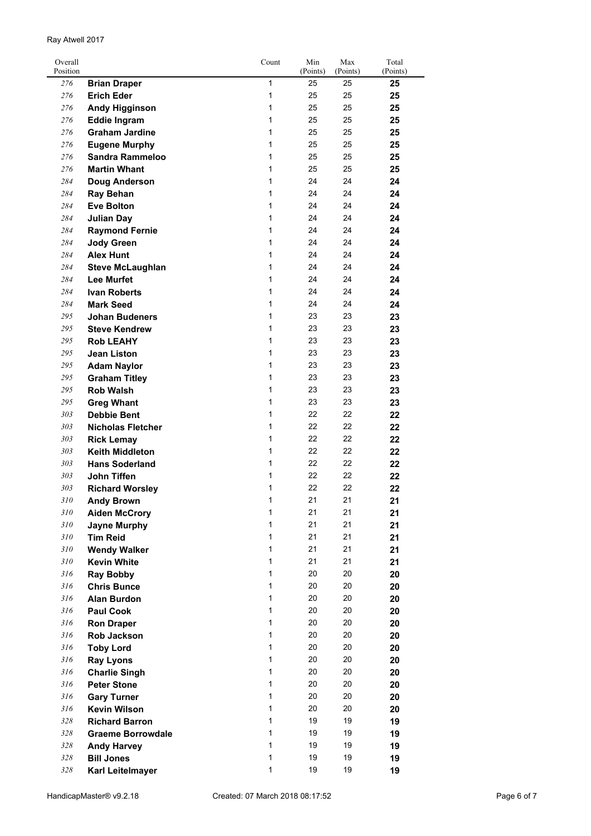| Overall<br>Position |                          | Count        | Min<br>(Points) | Max<br>(Points) | Total<br>(Points) |
|---------------------|--------------------------|--------------|-----------------|-----------------|-------------------|
| 276                 | <b>Brian Draper</b>      | 1            | 25              | 25              | 25                |
| 276                 | <b>Erich Eder</b>        | 1            | 25              | 25              | 25                |
| 276                 | <b>Andy Higginson</b>    | 1            | 25              | 25              | 25                |
| 276                 | <b>Eddie Ingram</b>      | 1            | 25              | 25              | 25                |
| 276                 | <b>Graham Jardine</b>    | 1            | 25              | 25              | 25                |
| 276                 | <b>Eugene Murphy</b>     | 1            | 25              | 25              | 25                |
| 276                 | <b>Sandra Rammeloo</b>   | 1            | 25              | 25              | 25                |
| 276                 | <b>Martin Whant</b>      | 1            | 25              | 25              | 25                |
| 284                 | <b>Doug Anderson</b>     | 1            | 24              | 24              | 24                |
| 284                 | <b>Ray Behan</b>         | 1            | 24              | 24              | 24                |
| 284                 | <b>Eve Bolton</b>        | 1            | 24              | 24              | 24                |
| 284                 | <b>Julian Day</b>        | 1            | 24              | 24              | 24                |
| 284                 | <b>Raymond Fernie</b>    | 1            | 24              | 24              | 24                |
| 284                 | <b>Jody Green</b>        | 1            | 24              | 24              | 24                |
| 284                 | <b>Alex Hunt</b>         | 1            | 24              | 24              | 24                |
| 284                 | <b>Steve McLaughlan</b>  | 1            | 24              | 24              | 24                |
| 284                 | <b>Lee Murfet</b>        | 1            | 24              | 24              | 24                |
| 284                 | <b>Ivan Roberts</b>      | 1            | 24              | 24              | 24                |
| 284                 | <b>Mark Seed</b>         | 1            | 24              | 24              | 24                |
| 295                 | <b>Johan Budeners</b>    | 1            | 23              | 23              | 23                |
| 295                 | <b>Steve Kendrew</b>     | 1            | 23              | 23              | 23                |
|                     |                          | 1            |                 | 23              |                   |
| 295                 | <b>Rob LEAHY</b>         |              | 23              |                 | 23                |
| 295                 | <b>Jean Liston</b>       | 1            | 23              | 23              | 23                |
| 295                 | <b>Adam Naylor</b>       | 1            | 23              | 23              | 23                |
| 295                 | <b>Graham Titley</b>     | 1            | 23              | 23              | 23                |
| 295                 | <b>Rob Walsh</b>         | 1            | 23              | 23              | 23                |
| 295                 | <b>Greg Whant</b>        | 1            | 23              | 23              | 23                |
| 303                 | <b>Debbie Bent</b>       | 1            | 22              | 22              | 22                |
| 303                 | <b>Nicholas Fletcher</b> | 1            | 22              | 22              | 22                |
| 303                 | <b>Rick Lemay</b>        | 1            | 22              | 22              | 22                |
| 303                 | <b>Keith Middleton</b>   | 1            | 22              | 22              | 22                |
| 303                 | <b>Hans Soderland</b>    | 1            | 22              | 22              | 22                |
| 303                 | <b>John Tiffen</b>       | 1            | 22              | 22              | 22                |
| 303                 | <b>Richard Worsley</b>   | 1            | 22              | 22              | 22                |
| 310                 | <b>Andy Brown</b>        | 1            | 21              | 21              | 21                |
| 310                 | <b>Aiden McCrory</b>     | 1            | 21              | 21              | 21                |
| 310                 | <b>Jayne Murphy</b>      | $\mathbf{1}$ | 21              | 21              | 21                |
| 310                 | <b>Tim Reid</b>          | $\mathbf{1}$ | 21              | 21              | 21                |
| 310                 | <b>Wendy Walker</b>      | $\mathbf{1}$ | 21              | 21              | 21                |
| 310                 | <b>Kevin White</b>       | $\mathbf{1}$ | 21              | 21              | 21                |
| 316                 | <b>Ray Bobby</b>         | $\mathbf{1}$ | 20              | 20              | 20                |
| 316                 | <b>Chris Bunce</b>       | $\mathbf 1$  | 20              | 20              | 20                |
| 316                 | <b>Alan Burdon</b>       | 1            | 20              | 20              | 20                |
| 316                 | <b>Paul Cook</b>         | $\mathbf{1}$ | 20              | 20              | 20                |
| 316                 | <b>Ron Draper</b>        | $\mathbf{1}$ | 20              | 20              | 20                |
| 316                 | Rob Jackson              | 1            | 20              | 20              | 20                |
| 316                 | <b>Toby Lord</b>         | 1            | 20              | 20              | 20                |
| 316                 | <b>Ray Lyons</b>         | 1            | 20              | 20              | 20                |
| 316                 | <b>Charlie Singh</b>     | 1            | 20              | 20              | 20                |
| 316                 | <b>Peter Stone</b>       | $\mathbf{1}$ | 20              | 20              | 20                |
| 316                 | <b>Gary Turner</b>       | 1            | 20              | 20              | 20                |
| 316                 | <b>Kevin Wilson</b>      | 1            | 20              | 20              | 20                |
| 328                 | <b>Richard Barron</b>    | 1            | 19              | 19              | 19                |
| 328                 | <b>Graeme Borrowdale</b> | $\mathbf{1}$ | 19              | 19              | 19                |
| 328                 | <b>Andy Harvey</b>       | 1            | 19              | 19              | 19                |
| 328                 | <b>Bill Jones</b>        | 1            | 19              | 19              | 19                |
| 328                 | Karl Leitelmayer         | 1            | 19              | 19              | 19                |
|                     |                          |              |                 |                 |                   |

Ray Atwell 2017